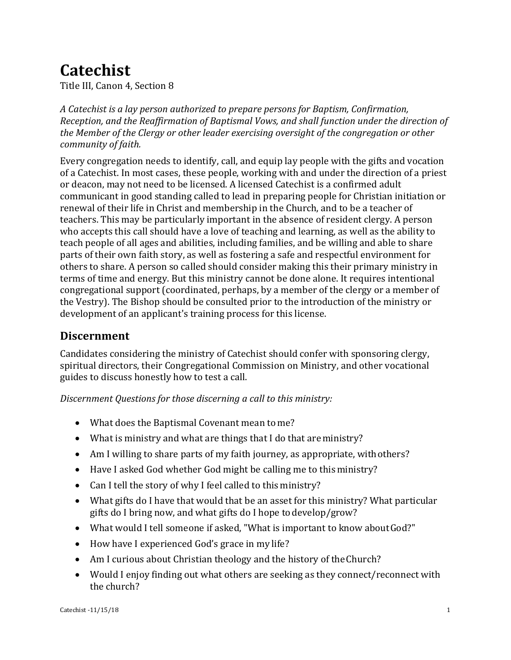# **Catechist**

Title III, Canon 4, Section 8

*A Catechist is a lay person authorized to prepare persons for Baptism, Confirmation, Reception, and the Reaffirmation of Baptismal Vows, and shall function under the direction of the Member of the Clergy or other leader exercising oversight of the congregation or other community of faith.*

Every congregation needs to identify, call, and equip lay people with the gifts and vocation of a Catechist. In most cases, these people, working with and under the direction of a priest or deacon, may not need to be licensed. A licensed Catechist is a confirmed adult communicant in good standing called to lead in preparing people for Christian initiation or renewal of their life in Christ and membership in the Church, and to be a teacher of teachers. This may be particularly important in the absence of resident clergy. A person who accepts this call should have a love of teaching and learning, as well as the ability to teach people of all ages and abilities, including families, and be willing and able to share parts of their own faith story, as well as fostering a safe and respectful environment for others to share. A person so called should consider making this their primary ministry in terms of time and energy. But this ministry cannot be done alone. It requires intentional congregational support (coordinated, perhaps, by a member of the clergy or a member of the Vestry). The Bishop should be consulted prior to the introduction of the ministry or development of an applicant's training process for this license.

## **Discernment**

Candidates considering the ministry of Catechist should confer with sponsoring clergy, spiritual directors, their Congregational Commission on Ministry, and other vocational guides to discuss honestly how to test a call.

*Discernment Questions for those discerning a call to this ministry:*

- What does the Baptismal Covenant mean to me?
- What is ministry and what are things that I do that areministry?
- Am I willing to share parts of my faith journey, as appropriate, with others?
- Have I asked God whether God might be calling me to this ministry?
- Can I tell the story of why I feel called to this ministry?
- What gifts do I have that would that be an asset for this ministry? What particular gifts do I bring now, and what gifts do I hope todevelop/grow?
- What would I tell someone if asked, "What is important to know about God?"
- How have I experienced God's grace in my life?
- Am I curious about Christian theology and the history of the Church?
- Would I enjoy finding out what others are seeking as they connect/reconnect with the church?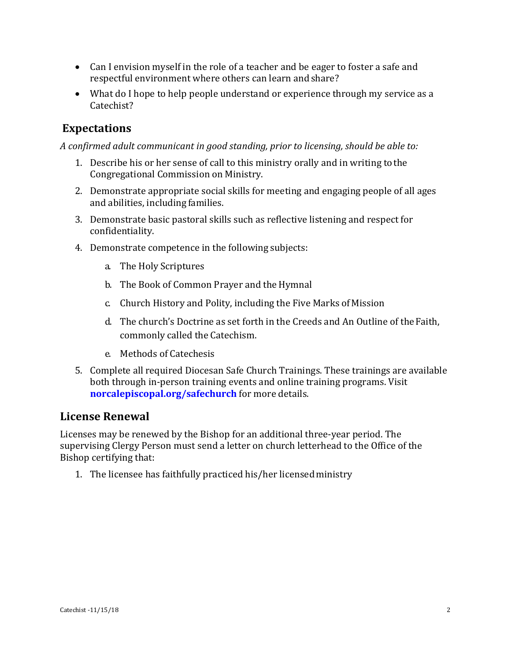- Can I envision myself in the role of a teacher and be eager to foster a safe and respectful environment where others can learn andshare?
- What do I hope to help people understand or experience through my service as a Catechist?

# **Expectations**

*A confirmed adult communicant in good standing, prior to licensing, should be able to:*

- 1. Describe his or her sense of call to this ministry orally and in writing tothe Congregational Commission on Ministry.
- 2. Demonstrate appropriate social skills for meeting and engaging people of all ages and abilities, including families.
- 3. Demonstrate basic pastoral skills such as reflective listening and respect for confidentiality.
- 4. Demonstrate competence in the following subjects:
	- a. The Holy Scriptures
	- b. The Book of Common Prayer and the Hymnal
	- c. Church History and Polity, including the Five Marks of Mission
	- d. The church's Doctrine as set forth in the Creeds and An Outline of theFaith, commonly called the Catechism.
	- e. Methods of Catechesis
- 5. Complete all required Diocesan Safe Church Trainings. These trainings are available both through in-person training events and online training programs. Visit **[norcalepiscopal.org/safechurch](http://www.norcalepiscopal.org/safechurch)** for more details.

## **License Renewal**

Licenses may be renewed by the Bishop for an additional three-year period. The supervising Clergy Person must send a letter on church letterhead to the Office of the Bishop certifying that:

1. The licensee has faithfully practiced his/her licensedministry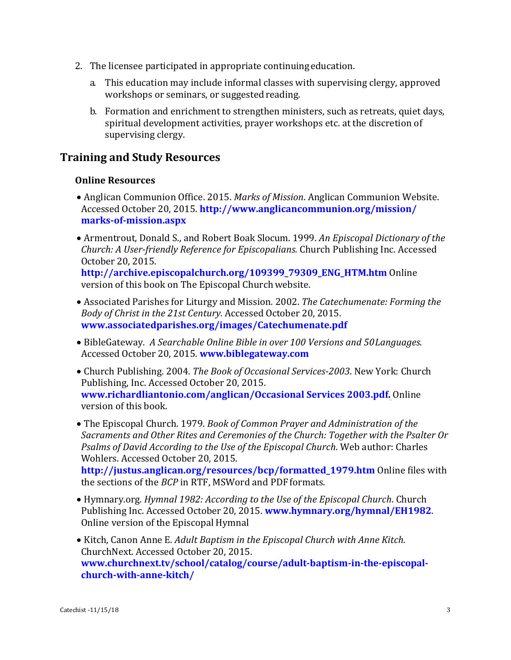- 2. The licensee participated in appropriate continuingeducation.
	- a. This education may include informal classes with supervising clergy, approved workshops or seminars, or suggested reading.
	- b. Formation and enrichment to strengthen ministers, such as retreats, quiet days, spiritual development activities, prayer workshops etc. at the discretion of supervising clergy.

## **Training and Study Resources**

### **Online Resources**

- Anglican Communion Office. 2015. *Marks of Mission*. Anglican Communion Website. Accessed October 20, 2015. **http://www.anglicancommunion.org/mission/ [marks-of-miss](http://www.anglicancommunion.org/identity/marks-of-mission.aspx)ion.aspx**
- Armentrout, Donald S., and Robert Boak Slocum. 1999. *An Episcopal Dictionary of the Church: A User-friendly Reference for Episcopalians.* Church Publishing Inc. Accessed October 20, 2015.

**[http://archive.episcopalchurch.org/109399\\_79309\\_ENG\\_HTM.htm](http://archive.episcopalchurch.org/109399_79309_ENG_HTM.htm)** Online version of this book on The Episcopal Churchwebsite.

- Associated Parishes for Liturgy and Mission*.* 2002. *The Catechumenate: Forming the Body of Christ in the 21st Century.* Accessed October 20, 2015. **[www.associatedparishes.org/images/Catechumenate.pdf](http://www.associatedparishes.org/images/Catechumenate.pdf)**
- BibleGateway. *A Searchable Online Bible in over 100 Versions and 50Languages.* Accessed October 20, 2015. **[www.biblegateway.com](http://www.biblegateway.com/)**
- Church Publishing. 2004. *The Book of Occasional Services-2003*. New York: Church Publishing, Inc. Accessed October 20, 2015. **[www.richardliantonio.com/anglican/Occasional Services 2003.pdf.](http://www.richardliantonio.com/anglican/Occasional%20Services%202003.pdf)** Online version of this book.
- The Episcopal Church. 1979. *Book of Common Prayer and Administration of the Sacraments and Other Rites and Ceremonies of the Church: Together with the Psalter Or Psalms of David According to the Use of the Episcopal Church*. Web author: Charles Wohlers. Accessed October 20, 2015.

**[http://justus.anglican.org/resources/bcp/formatted\\_1979.htm](http://justus.anglican.org/resources/bcp/formatted_1979.htm)** Online files with the sections of the *BCP* in RTF, MSWord and PDF formats.

- Hymnary.org. *Hymnal 1982: According to the Use of the Episcopal Church*. Church Publishing Inc. Accessed October 20, 2015. **[www.hymnary.org/hymnal/EH1982](http://www.hymnary.org/hymnal/EH1982)**. Online version of the Episcopal Hymnal
- Kitch, Canon Anne E. *Adult Baptism in the Episcopal Church with Anne Kitch.* ChurchNext. Accessed October 20, 2015. **[www.churchnext.tv/school/catalog/course/adult-baptism-in-the-episcopal](http://www.churchnext.tv/school/catalog/course/adult-baptism-in-the-episcopal-church-with-anne-kitch/)[church-with-anne-kitch/](http://www.churchnext.tv/school/catalog/course/adult-baptism-in-the-episcopal-church-with-anne-kitch/)**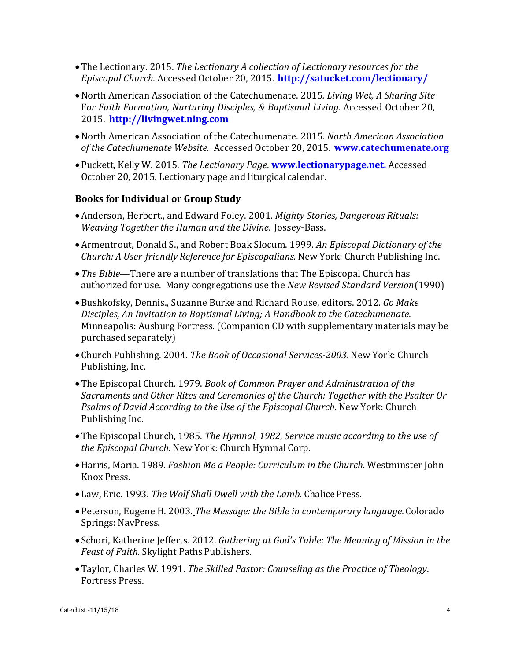- •The Lectionary. 2015. *The Lectionary A collection of Lectionary resources for the Episcopal Church*. Accessed October 20, 2015. **<http://satucket.com/lectionary/>**
- •North American Association of the Catechumenate. 2015*. Living Wet, A Sharing Site*  F*or Faith Formation, Nurturing Disciples, & Baptismal Living*. Accessed October 20, 2015. **[http://livingwet.ning.com](http://livingwet.ning.com/)**
- •North American Association of the Catechumenate. 2015. *North American Association of the Catechumenate Website.* Accessed October 20, 2015. **[www.catechumenate.org](http://www.catechumenate.org/)**
- •Puckett, Kelly W. 2015. *The Lectionary Page*. **[www.lectionarypage.net.](http://www.lectionarypage.net/)** Accessed October 20, 2015. Lectionary page and liturgical calendar.

#### **Books for Individual or Group Study**

- •Anderson, Herbert., and Edward Foley. 2001. *Mighty Stories, Dangerous Rituals: Weaving Together the Human and the Divine*. Jossey-Bass.
- •Armentrout, Donald S., and Robert Boak Slocum. 1999. *An Episcopal Dictionary of the Church: A User-friendly Reference for Episcopalians.* New York: Church Publishing Inc.
- •*The Bible*—There are a number of translations that The Episcopal Church has authorized for use. Many congregations use the *New Revised Standard Version*(1990)
- •Bushkofsky, Dennis., Suzanne Burke and Richard Rouse, editors. 2012. *Go Make Disciples, An Invitation to Baptismal Living; A Handbook to the Catechumenate*. Minneapolis: Ausburg Fortress. (Companion CD with supplementary materials may be purchased separately)
- •Church Publishing. 2004. *The Book of Occasional Services-2003*. New York: Church Publishing, Inc.
- •The Episcopal Church. 1979. *Book of Common Prayer and Administration of the Sacraments and Other Rites and Ceremonies of the Church: Together with the Psalter Or Psalms of David According to the Use of the Episcopal Church.* New York: Church Publishing Inc.
- •The Episcopal Church, 1985. *The Hymnal, 1982, Service music according to the use of the Episcopal Church.* New York: Church Hymnal Corp.
- •Harris, Maria. 1989. *Fashion Me a People: Curriculum in the Church.* Westminster John Knox Press.
- Law, Eric. 1993. *The Wolf Shall Dwell with the Lamb*. Chalice Press.
- •Peterson, Eugene H. 2003. *The Message: the Bible in contemporary language.*Colorado Springs: NavPress.
- Schori, Katherine Jefferts. 2012. *Gathering at God's Table: The Meaning of Mission in the Feast of Faith.* Skylight Paths Publishers.
- •Taylor, Charles W. 1991. *The Skilled Pastor: Counseling as the Practice of Theology*. Fortress Press.